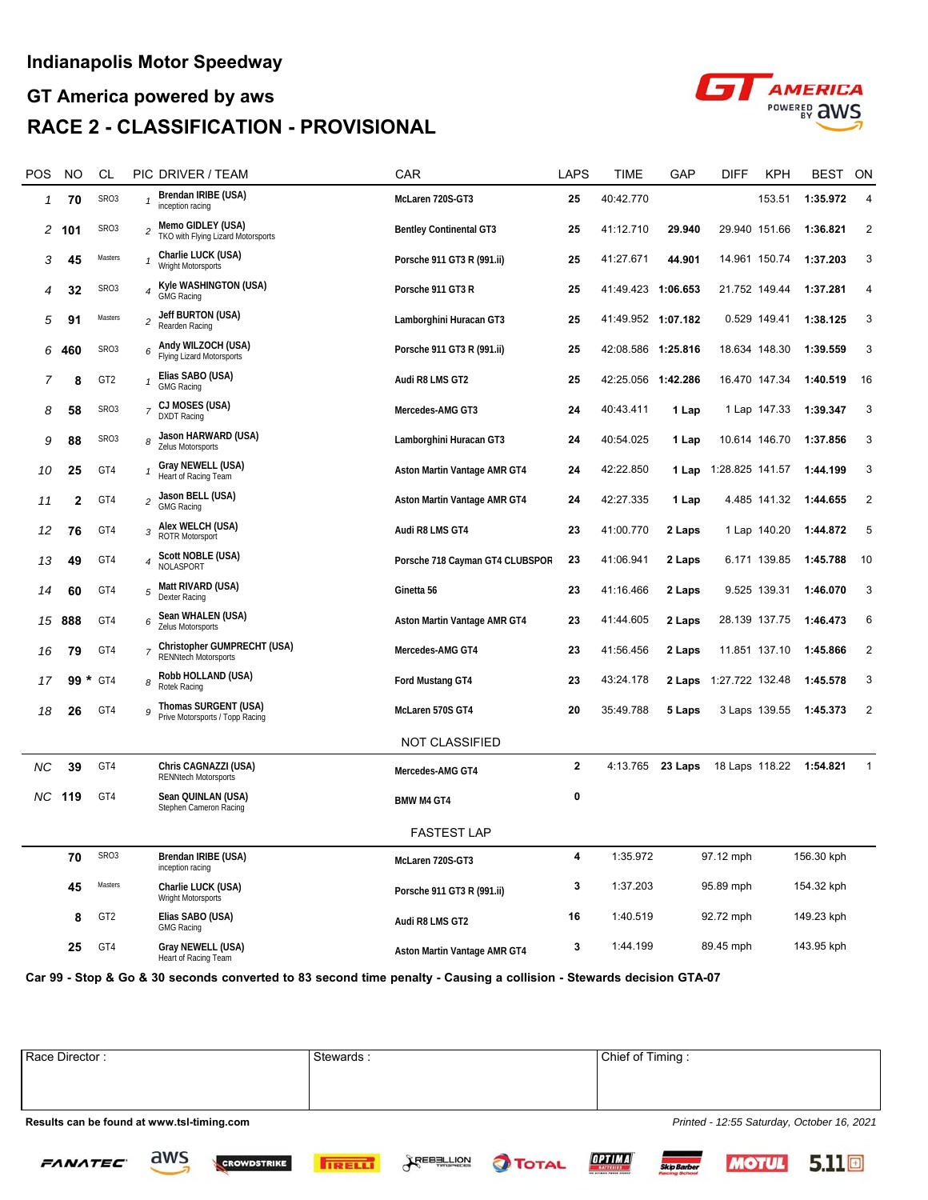## **GT America powered by aws RACE 2 - CLASSIFICATION - PROVISIONAL**



| POS | NO      | CL                |                          | PIC DRIVER / TEAM                                          | CAR                             | <b>LAPS</b>  | TIME               | GAP       | DIFF                   | KPH          | <b>BEST</b>             | ON             |
|-----|---------|-------------------|--------------------------|------------------------------------------------------------|---------------------------------|--------------|--------------------|-----------|------------------------|--------------|-------------------------|----------------|
| 1   | 70      | SR <sub>03</sub>  |                          | Brendan IRIBE (USA)<br>inception racing                    | McLaren 720S-GT3                | 25           | 40:42.770          |           |                        | 153.51       | 1:35.972                | 4              |
| 2   | 101     | SR <sub>03</sub>  | 2                        | Memo GIDLEY (USA)<br>TKO with Flying Lizard Motorsports    | <b>Bentley Continental GT3</b>  | 25           | 41:12.710          | 29.940    | 29.940 151.66          |              | 1:36.821                | 2              |
| 3   | 45      | Masters           | 1                        | Charlie LUCK (USA)<br>Wright Motorsports                   | Porsche 911 GT3 R (991.ii)      | 25           | 41:27.671          | 44.901    | 14.961 150.74          |              | 1:37.203                | 3              |
| 4   | 32      | SR <sub>O</sub> 3 | $\overline{4}$           | Kyle WASHINGTON (USA)<br>GMG Racing                        | Porsche 911 GT3 R               | 25           | 41:49.423          | 1:06.653  | 21.752 149.44          |              | 1:37.281                | 4              |
| 5   | 91      | Masters           | $\overline{c}$           | Jeff BURTON (USA)<br>Rearden Racing                        | Lamborghini Huracan GT3         | 25           | 41:49.952 1:07.182 |           |                        | 0.529 149.41 | 1:38.125                | 3              |
| 6   | 460     | SR <sub>O</sub> 3 |                          | 6 Andy WILZOCH (USA)<br>Flying Lizard Motorsports          | Porsche 911 GT3 R (991.ii)      | 25           | 42:08.586 1:25.816 |           | 18.634 148.30          |              | 1:39.559                | 3              |
| 7   | 8       | GT <sub>2</sub>   |                          | Elias SABO (USA)<br><b>GMG Racing</b>                      | Audi R8 LMS GT2                 | 25           | 42:25.056 1:42.286 |           | 16.470 147.34          |              | 1:40.519                | 16             |
| 8   | 58      | SR <sub>03</sub>  | $\overline{7}$           | CJ MOSES (USA)<br><b>DXDT Racing</b>                       | Mercedes-AMG GT3                | 24           | 40:43.411          | 1 Lap     |                        | 1 Lap 147.33 | 1:39.347                | 3              |
| 9   | 88      | SR <sub>03</sub>  | 8                        | Jason HARWARD (USA)<br>Zelus Motorsports                   | Lamborghini Huracan GT3         | 24           | 40:54.025          | 1 Lap     | 10.614 146.70          |              | 1:37.856                | 3              |
| 10  | 25      | GT4               | 1                        | Gray NEWELL (USA)<br>Heart of Racing Team                  | Aston Martin Vantage AMR GT4    | 24           | 42:22.850          | 1 Lap     | 1:28.825 141.57        |              | 1:44.199                | 3              |
| 11  | 2       | GT4               | 2                        | Jason BELL (USA)<br><b>GMG Racing</b>                      | Aston Martin Vantage AMR GT4    | 24           | 42:27.335          | 1 Lap     |                        | 4.485 141.32 | 1:44.655                | 2              |
| 12  | 76      | GT4               | 3                        | Alex WELCH (USA)<br>ROTR Motorsport                        | Audi R8 LMS GT4                 | 23           | 41:00.770          | 2 Laps    |                        | 1 Lap 140.20 | 1:44.872                | 5              |
| 13  | 49      | GT4               | 4                        | Scott NOBLE (USA)<br>NOLASPORT                             | Porsche 718 Cayman GT4 CLUBSPOR | 23           | 41:06.941          | 2 Laps    |                        | 6.171 139.85 | 1:45.788                | 10             |
| 14  | 60      | GT4               | 5                        | Matt RIVARD (USA)<br>Dexter Racing                         | Ginetta 56                      | 23           | 41:16.466          | 2 Laps    |                        | 9.525 139.31 | 1:46.070                | 3              |
|     | 15 888  | GT4               | 6                        | Sean WHALEN (USA)<br>Zelus Motorsports                     | Aston Martin Vantage AMR GT4    | 23           | 41:44.605          | 2 Laps    | 28.139 137.75          |              | 1:46.473                | 6              |
| 16  | 79      | GT4               | $\overline{\phantom{a}}$ | Christopher GUMPRECHT (USA)<br><b>RENNtech Motorsports</b> | Mercedes-AMG GT4                | 23           | 41:56.456          | 2 Laps    | 11.851 137.10          |              | 1:45.866                | 2              |
| 17  | *<br>99 | GT4               | 8                        | Robb HOLLAND (USA)<br>Rotek Racing                         | Ford Mustang GT4                | 23           | 43:24.178          |           | 2 Laps 1:27.722 132.48 |              | 1:45.578                | 3              |
| 18  | 26      | GT4               | 9                        | Thomas SURGENT (USA)<br>Prive Motorsports / Topp Racing    | McLaren 570S GT4                | 20           | 35:49.788          | 5 Laps    | 3 Laps 139.55          |              | 1:45.373                | $\overline{2}$ |
|     |         |                   |                          |                                                            | NOT CLASSIFIED                  |              |                    |           |                        |              |                         |                |
| NС  | 39      | GT4               |                          | Chris CAGNAZZI (USA)<br><b>RENNtech Motorsports</b>        | Mercedes-AMG GT4                | $\mathbf{2}$ | 4:13.765           | 23 Laps   |                        |              | 18 Laps 118.22 1:54.821 | $\mathbf{1}$   |
| NC. | 119     | GT4               |                          | Sean QUINLAN (USA)<br>Stephen Cameron Racing               | <b>BMW M4 GT4</b>               | 0            |                    |           |                        |              |                         |                |
|     |         |                   |                          |                                                            | <b>FASTEST LAP</b>              |              |                    |           |                        |              |                         |                |
|     | 70      | SRO3              |                          | Brendan IRIBE (USA)<br>inception racing                    | McLaren 720S-GT3                | 4            | 1:35.972           |           | 97.12 mph              |              | 156.30 kph              |                |
|     | 45      | Masters           |                          | Charlie LUCK (USA)<br>Wright Motorsports                   | Porsche 911 GT3 R (991.ii)      | 3            | 1:37.203           | 95.89 mph |                        | 154.32 kph   |                         |                |
|     | 8       | GT <sub>2</sub>   |                          | Elias SABO (USA)<br><b>GMG Racing</b>                      | Audi R8 LMS GT2                 | 16           | 1:40.519           | 92.72 mph |                        | 149.23 kph   |                         |                |
|     | 25      | GT4               |                          | Gray NEWELL (USA)<br>Heart of Racing Team                  | Aston Martin Vantage AMR GT4    | 3            | 1:44.199           | 89.45 mph |                        | 143.95 kph   |                         |                |

**Car 99 - Stop & Go & 30 seconds converted to 83 second time penalty - Causing a collision - Stewards decision GTA-07**

Race Director : Stewards : Stewards : Chief of Timing : Chief of Timing :

**Results can be found at www.tsl-timing.com** *Printed - 12:55 Saturday, October 16, 2021*

aws

**FANATEC** 











 $5.11\text{m}$